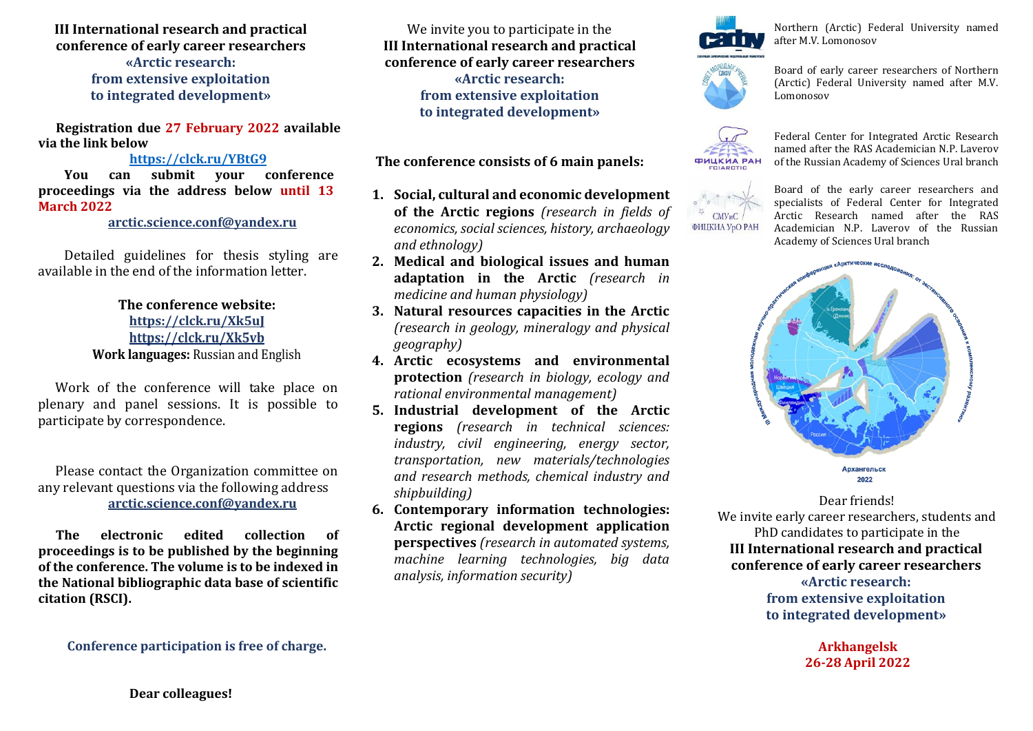**III International research and practical conference of early career researchers «Arctic research: from extensive exploitation to integrated development»**

**Registration due 27 February 2022 available via the link below**

## **<https://clck.ru/YBtG9>**

**You can submit your conference proceedings via the address below until 13 March 2022** 

**[arctic.science.conf@yandex.ru](mailto:arctic.science.conf@yandex.ru)**

Detailed guidelines for thesis styling are available in the end of the information letter.

> **The conference website: <https://clck.ru/Xk5uJ> https://clck.ru/Xk5vb Work languages:** Russian and English

Work of the conference will take place on plenary and panel sessions. It is possible to participate by correspondence.

Please contact the Organization committee on any relevant questions via the following address **[arctic.science.conf@yandex.ru](mailto:arctic.science.conf@yandex.ru)**

**The electronic edited collection of proceedings is to be published by the beginning of the conference. The volume is to be indexed in the National bibliographic data base of scientific citation (RSCI).**

We invite you to participate in the **III International research and practical conference of early career researchers «Arctic research: from extensive exploitation to integrated development»**

**The conference consists of 6 main panels:**

- **1. Social, cultural and economic development of the Arctic regions** *(research in fields of economics, social sciences, history, archaeology and ethnology)*
- **2. Medical and biological issues and human adaptation in the Arctic** *(research in medicine and human physiology)*
- **3. Natural resources capacities in the Arctic** *(research in geology, mineralogy and physical geography)*
- **4. Arctic ecosystems and environmental protection** *(research in biology, ecology and rational environmental management)*
- **5. Industrial development of the Arctic regions** *(research in technical sciences: industry, civil engineering, energy sector, transportation, new materials/technologies and research methods, chemical industry and shipbuilding)*
- **6. Contemporary information technologies: Arctic regional development application perspectives** *(research in automated systems, machine learning technologies, big data analysis, information security)*



Northern (Arctic) Federal University named after M.V. Lomonosov



Board of early career researchers of Northern (Arctic) Federal University named after M.V. Lomonosov

Federal Center for Integrated Arctic Research named after the RAS Academician N.P. Laverov of the Russian Academy of Sciences Ural branch **ФИЦКИА РАН** 



Board of the early career researchers and specialists of Federal Center for Integrated Arctic Research named after the RAS Academician N.P. Laverov of the Russian Academy of Sciences Ural branch



Dear friends! We invite early career researchers, students and PhD candidates to participate in the **III International research and practical conference of early career researchers «Arctic research: from extensive exploitation** 

**to integrated development»**

**Arkhangelsk 26-28 April 2022**

**Conference participation is free of charge.**